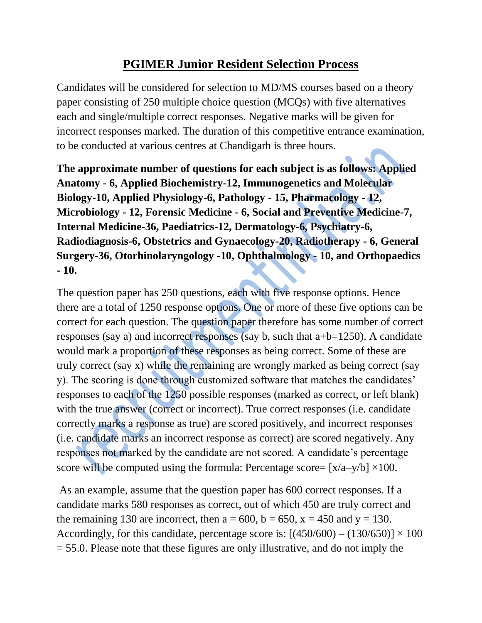## **PGIMER Junior Resident Selection Process**

Candidates will be considered for selection to MD/MS courses based on a theory paper consisting of 250 multiple choice question (MCQs) with five alternatives each and single/multiple correct responses. Negative marks will be given for incorrect responses marked. The duration of this competitive entrance examination, to be conducted at various centres at Chandigarh is three hours.

**The approximate number of questions for each subject is as follows: Applied Anatomy - 6, Applied Biochemistry-12, Immunogenetics and Molecular Biology-10, Applied Physiology-6, Pathology - 15, Pharmacology - 12, Microbiology - 12, Forensic Medicine - 6, Social and Preventive Medicine-7, Internal Medicine-36, Paediatrics-12, Dermatology-6, Psychiatry-6, Radiodiagnosis-6, Obstetrics and Gynaecology-20, Radiotherapy - 6, General Surgery-36, Otorhinolaryngology -10, Ophthalmology - 10, and Orthopaedics - 10.**

The question paper has 250 questions, each with five response options. Hence there are a total of 1250 response options. One or more of these five options can be correct for each question. The question paper therefore has some number of correct responses (say a) and incorrect responses (say b, such that a+b=1250). A candidate would mark a proportion of these responses as being correct. Some of these are truly correct (say x) while the remaining are wrongly marked as being correct (say y). The scoring is done through customized software that matches the candidates' responses to each of the 1250 possible responses (marked as correct, or left blank) with the true answer (correct or incorrect). True correct responses (i.e. candidate correctly marks a response as true) are scored positively, and incorrect responses (i.e. candidate marks an incorrect response as correct) are scored negatively. Any responses not marked by the candidate are not scored. A candidate's percentage score will be computed using the formula: Percentage score=  $[x/a-y/b] \times 100$ .

As an example, assume that the question paper has 600 correct responses. If a candidate marks 580 responses as correct, out of which 450 are truly correct and the remaining 130 are incorrect, then  $a = 600$ ,  $b = 650$ ,  $x = 450$  and  $y = 130$ . Accordingly, for this candidate, percentage score is:  $[(450/600) - (130/650)] \times 100$  $= 55.0$ . Please note that these figures are only illustrative, and do not imply the